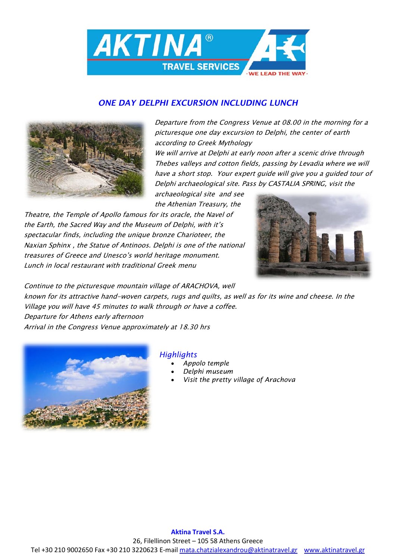

## *ONE DAY DELPHI EXCURSION INCLUDING LUNCH*



Departure from the Congress Venue at 08.00 in the morning for a picturesque one day excursion to Delphi, the center of earth according to Greek Mythology

We will arrive at Delphi at early noon after a scenic drive through Thebes valleys and cotton fields, passing by Levadia where we will have a short stop. Your expert guide will give you a guided tour of Delphi archaeological site. Pass by CASTALIA SPRING, visit the

archaeological site and see the Athenian Treasury, the

Theatre, the Temple of Apollo famous for its oracle, the Navel of the Earth, the Sacred Way and the Museum of Delphi, with it's spectacular finds, including the unique bronze Charioteer, the Naxian Sphinx , the Statue of Antinoos. Delphi is one of the national treasures of Greece and Unesco's world heritage monument. Lunch in local restaurant with traditional Greek menu



Continue to the picturesque mountain village of ARACHOVA, well known for its attractive hand-woven carpets, rugs and quilts, as well as for its wine and cheese. In the Village you will have 45 minutes to walk through or have a coffee. Departure for Athens early afternoon Arrival in the Congress Venue approximately at 18.30 hrs



## *Highlights*

- *Appolo temple*
- *Delphi museum*
- *Visit the pretty village of Arachova*